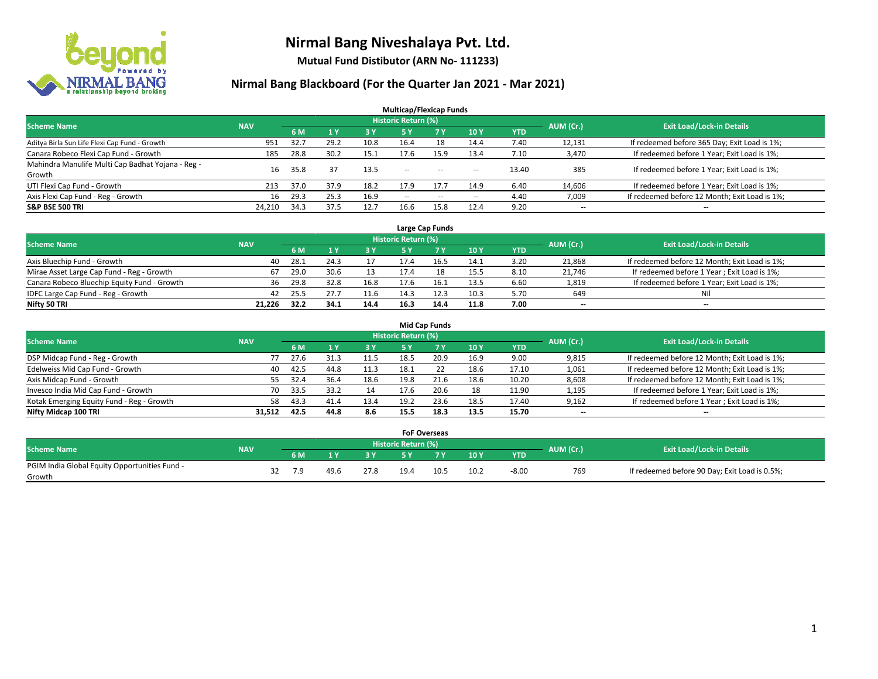

**Mutual Fund Distibutor (ARN No- 111233)**

| <b>Multicap/Flexicap Funds</b>                    |            |      |      |      |                            |                                                |                          |            |                          |                                               |  |  |  |
|---------------------------------------------------|------------|------|------|------|----------------------------|------------------------------------------------|--------------------------|------------|--------------------------|-----------------------------------------------|--|--|--|
| <b>Scheme Name</b>                                | <b>NAV</b> |      |      |      | <b>Historic Return (%)</b> |                                                |                          |            | AUM (Cr.)                | <b>Exit Load/Lock-in Details</b>              |  |  |  |
|                                                   |            | 6 M  |      | 3 Y  | 5 Y                        | 7 <sup>V</sup>                                 | 10Y                      | <b>YTD</b> |                          |                                               |  |  |  |
| Aditya Birla Sun Life Flexi Cap Fund - Growth     | 951        | 32.7 | 29.2 | 10.8 | 16.4                       | 18                                             | 14.4                     | 7.40       | 12,131                   | If redeemed before 365 Day; Exit Load is 1%;  |  |  |  |
| Canara Robeco Flexi Cap Fund - Growth             | 185        | 28.8 | 30.2 | 15.1 | 17.6                       | 15.9                                           | 13.4                     | 7.10       | 3,470                    | If redeemed before 1 Year; Exit Load is 1%;   |  |  |  |
| Mahindra Manulife Multi Cap Badhat Yojana - Reg - | 16         | 35.8 | 37   | 13.5 | --                         | $\sim$                                         | $\sim$ $\sim$            | 13.40      | 385                      | If redeemed before 1 Year; Exit Load is 1%;   |  |  |  |
| Growth                                            |            |      |      |      |                            |                                                |                          |            |                          |                                               |  |  |  |
| UTI Flexi Cap Fund - Growth                       | 213        | 37.0 | 37.9 | 18.2 | 17.9                       | 17.7                                           | 14.9                     | 6.40       | 14,606                   | If redeemed before 1 Year; Exit Load is 1%;   |  |  |  |
| Axis Flexi Cap Fund - Reg - Growth                | 16         | 29.3 | 25.3 | 16.9 | $\sim$ $\sim$              | $\hspace{0.1mm}-\hspace{0.1mm}-\hspace{0.1mm}$ | $\hspace{0.05cm} \ldots$ | 4.40       | 7,009                    | If redeemed before 12 Month; Exit Load is 1%; |  |  |  |
| <b>S&amp;P BSE 500 TRI</b>                        | 24,210     | 34.3 | 37.5 | 12.7 | 16.6                       | 15.8                                           | 12.4                     | 9.20       | $\overline{\phantom{a}}$ | $- -$                                         |  |  |  |

|                                             |            |      |      |      |                     | Large Cap Funds |      |      |           |                                               |
|---------------------------------------------|------------|------|------|------|---------------------|-----------------|------|------|-----------|-----------------------------------------------|
| <b>Scheme Name</b>                          | <b>NAV</b> |      |      |      | Historic Return (%) |                 |      |      | AUM (Cr.) | <b>Exit Load/Lock-in Details</b>              |
|                                             |            | 6 M  |      | 3Y   |                     | 7 Y             | 10Y  | YTD  |           |                                               |
| Axis Bluechip Fund - Growth                 | 40         | 28.1 | 24.3 |      | 17.4                | 16.5            | 14.1 | 3.20 | 21,868    | If redeemed before 12 Month; Exit Load is 1%; |
| Mirae Asset Large Cap Fund - Reg - Growth   | 67         | 29.0 | 30.6 |      | 17.4                | 18              | 15.5 | 8.10 | 21,746    | If redeemed before 1 Year; Exit Load is 1%;   |
| Canara Robeco Bluechip Equity Fund - Growth | 36         | 29.8 | 32.8 | 16.8 | 17.6                | 16.:            | 13.5 | 6.60 | 1,819     | If redeemed before 1 Year; Exit Load is 1%;   |
| IDFC Large Cap Fund - Reg - Growth          | 42         | 25.5 |      | 11.6 | 14.3                | 12.3            | 10.3 | 5.70 | 649       | Nil                                           |
| Nifty 50 TRI                                | 21.226     | 32.2 | 34.1 | 14.4 | 16.3                | 14.4            | 11.8 | 7.00 | $- -$     | $\overline{\phantom{a}}$                      |

| <b>Mid Cap Funds</b>                      |            |            |                                  |           |      |      |      |            |                          |                                               |  |  |  |  |
|-------------------------------------------|------------|------------|----------------------------------|-----------|------|------|------|------------|--------------------------|-----------------------------------------------|--|--|--|--|
| <b>Scheme Name</b>                        | <b>NAV</b> | AUM (Cr.)  | <b>Exit Load/Lock-in Details</b> |           |      |      |      |            |                          |                                               |  |  |  |  |
|                                           |            | 6 M        |                                  | <b>3Y</b> | 5 Y  |      | 10Y  | <b>YTD</b> |                          |                                               |  |  |  |  |
| DSP Midcap Fund - Reg - Growth            |            | 27.6<br>77 |                                  | 11.5      | 18.5 | 20.9 | 16.9 | 9.00       | 9,815                    | If redeemed before 12 Month; Exit Load is 1%; |  |  |  |  |
| Edelweiss Mid Cap Fund - Growth           |            | 42.5<br>40 | 44.8                             | 11.3      | 18.1 |      | 18.6 | 17.10      | 1,061                    | If redeemed before 12 Month; Exit Load is 1%; |  |  |  |  |
| Axis Midcap Fund - Growth                 |            | 32.4<br>55 | 36.4                             | 18.6      | 19.8 | 21.6 | 18.6 | 10.20      | 8,608                    | If redeemed before 12 Month; Exit Load is 1%; |  |  |  |  |
| Invesco India Mid Cap Fund - Growth       |            | 33.5<br>70 | 33.2                             |           | 17.6 | 20.6 | 18   | 11.90      | 1,195                    | If redeemed before 1 Year; Exit Load is 1%;   |  |  |  |  |
| Kotak Emerging Equity Fund - Reg - Growth |            | 43.3<br>58 | 41.4                             | 13.4      | 19.2 | 23.6 | 18.5 | 17.40      | 9,162                    | If redeemed before 1 Year; Exit Load is 1%;   |  |  |  |  |
| Nifty Midcap 100 TRI                      | 31.512     | 42.5       | 44.8                             | 8.6       | 15.5 | 18.3 | 13.5 | 15.70      | $\overline{\phantom{m}}$ | $\overline{\phantom{a}}$                      |  |  |  |  |

|                                                         |            |     |      |        |                            | <b>FoF Overseas</b> |      |            |           |                                               |
|---------------------------------------------------------|------------|-----|------|--------|----------------------------|---------------------|------|------------|-----------|-----------------------------------------------|
| Scheme Name                                             | <b>NAV</b> |     |      |        | <b>Historic Return (%)</b> |                     |      |            | AUM (Cr.) | <b>Exit Load/Lock-in Details</b>              |
|                                                         |            | 6 M |      | $\sim$ |                            | 7 V                 | 10Y  | <b>YTD</b> |           |                                               |
| PGIM India Global Equity Opportunities Fund -<br>Growth |            |     | 49.6 | 27.8   | 19.4                       | 10.5                | 10.2 | $-8.00$    | 769       | If redeemed before 90 Day; Exit Load is 0.5%; |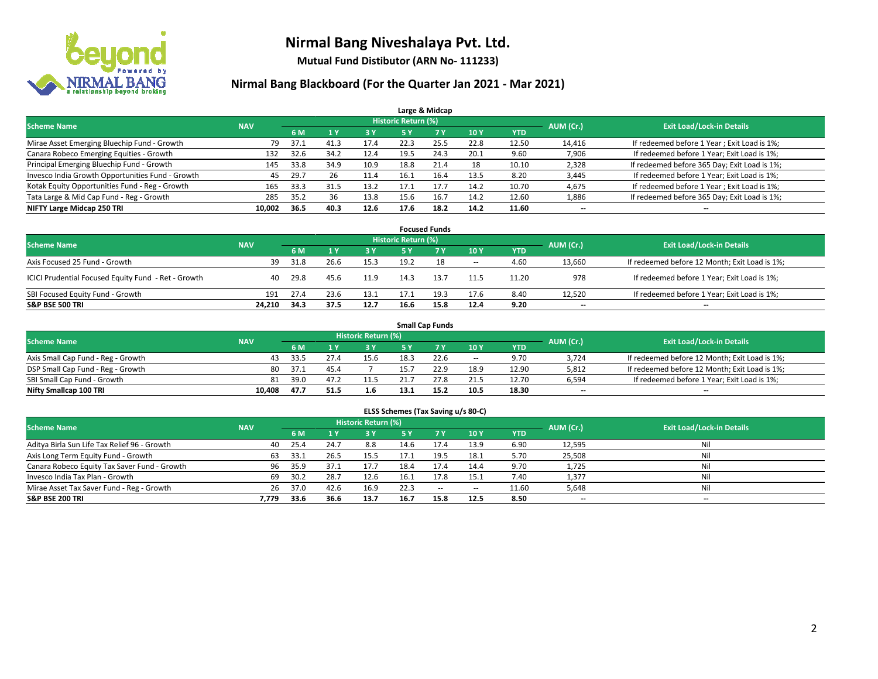

**Mutual Fund Distibutor (ARN No- 111233)**

| Large & Midcap                                   |            |      |      |      |                            |                |      |            |           |                                              |  |  |  |  |
|--------------------------------------------------|------------|------|------|------|----------------------------|----------------|------|------------|-----------|----------------------------------------------|--|--|--|--|
| <b>Scheme Name</b>                               | <b>NAV</b> |      |      |      | <b>Historic Return (%)</b> |                |      |            | AUM (Cr.) | <b>Exit Load/Lock-in Details</b>             |  |  |  |  |
|                                                  |            | 6 M  |      | 3 Y  | <b>5 Y</b>                 | 7 <sup>V</sup> | 10Y  | <b>YTD</b> |           |                                              |  |  |  |  |
| Mirae Asset Emerging Bluechip Fund - Growth      | 79         | 37.1 | 41.3 | 17.4 | 22.3                       | 25.5           | 22.8 | 12.50      | 14,416    | If redeemed before 1 Year; Exit Load is 1%;  |  |  |  |  |
| Canara Robeco Emerging Equities - Growth         | 132        | 32.6 | 34.2 | 12.4 | 19.5                       | 24.3           | 20.1 | 9.60       | 7,906     | If redeemed before 1 Year; Exit Load is 1%;  |  |  |  |  |
| Principal Emerging Bluechip Fund - Growth        | 145        | 33.8 | 34.9 | 10.9 | 18.8                       | 21.4           | 18   | 10.10      | 2,328     | If redeemed before 365 Day; Exit Load is 1%; |  |  |  |  |
| Invesco India Growth Opportunities Fund - Growth | 45         | 29.7 | 26   | 11.4 | 16.1                       | 16.4           | 13.5 | 8.20       | 3,445     | If redeemed before 1 Year; Exit Load is 1%;  |  |  |  |  |
| Kotak Equity Opportunities Fund - Reg - Growth   | 165        | 33.3 | 31.5 | 13.2 | 17.1                       | 17.7           | 14.2 | 10.70      | 4,675     | If redeemed before 1 Year; Exit Load is 1%;  |  |  |  |  |
| Tata Large & Mid Cap Fund - Reg - Growth         | 285        | 35.2 | 36   | 13.8 | 15.6                       | 16.7           | 14.2 | 12.60      | 1,886     | If redeemed before 365 Day; Exit Load is 1%; |  |  |  |  |
| NIFTY Large Midcap 250 TRI                       | 10.002     | 36.5 | 40.3 | 12.6 | 17.6                       | 18.2           | 14.2 | 11.60      | --        | --                                           |  |  |  |  |

| <b>Focused Funds</b>                                |            |      |      |      |                     |      |        |            |           |                                               |  |  |  |
|-----------------------------------------------------|------------|------|------|------|---------------------|------|--------|------------|-----------|-----------------------------------------------|--|--|--|
| <b>Scheme Name</b>                                  | <b>NAV</b> |      |      |      | Historic Return (%) |      |        |            | AUM (Cr.) | <b>Exit Load/Lock-in Details</b>              |  |  |  |
|                                                     |            | 6 M  |      | 73 Y | 5 Y                 |      | 10Y    | <b>YTD</b> |           |                                               |  |  |  |
| Axis Focused 25 Fund - Growth                       | 39         | 31.8 | 26.6 | 15.3 | 19.2                | 18   | $\sim$ | 4.60       | 13,660    | If redeemed before 12 Month; Exit Load is 1%; |  |  |  |
| ICICI Prudential Focused Equity Fund - Ret - Growth | 40         | 29.8 | 45.6 | 11.9 | 14.3                | 13.7 | 11.5   | 11.20      | 978       | If redeemed before 1 Year; Exit Load is 1%;   |  |  |  |
| SBI Focused Equity Fund - Growth                    | 191        | 27.4 | 23.6 | 13.1 | 17.1                | 19.3 | 17.6   | 8.40       | 12.520    | If redeemed before 1 Year; Exit Load is 1%;   |  |  |  |
| <b>S&amp;P BSE 500 TRI</b>                          | 24.210     | 34.3 | 37.5 | 12.7 | 16.6                | 15.8 | 12.4   | 9.20       | $- -$     | $\overline{\phantom{a}}$                      |  |  |  |

|                                    |            |      |      |                            |      | <b>Small Cap Funds</b> |        |       |           |                                               |
|------------------------------------|------------|------|------|----------------------------|------|------------------------|--------|-------|-----------|-----------------------------------------------|
| <b>Scheme Name</b>                 | <b>NAV</b> |      |      | <b>Historic Return (%)</b> |      |                        |        |       | AUM (Cr.) | <b>Exit Load/Lock-in Details</b>              |
|                                    |            | 6 M  |      | 73 Y.                      |      |                        | 10Y    | YTD   |           |                                               |
| Axis Small Cap Fund - Reg - Growth | 43         | 33.5 |      | 15.6                       | 18.3 | 22.6                   | $\sim$ | 9.70  | 3.724     | If redeemed before 12 Month; Exit Load is 1%; |
| DSP Small Cap Fund - Reg - Growth  | 80         | 37.1 | 45.4 |                            | 15.7 | 22.9                   | 18.9   | 12.90 | 5,812     | If redeemed before 12 Month; Exit Load is 1%; |
| SBI Small Cap Fund - Growth        | 81         | 39.0 | 47.7 | 11.5                       |      | 27.8                   | 21.5   | 12.70 | 6,594     | If redeemed before 1 Year; Exit Load is 1%;   |
| Nifty Smallcap 100 TRI             | 10.408     | 47.7 | 51.5 | 1.6                        | 13.1 | 15.2                   | 10.5   | 18.30 | $- -$     | $\overline{\phantom{a}}$                      |

| ELSS Schemes (Tax Saving u/s 80-C)           |            |           |                                  |      |           |            |                          |            |        |                          |  |  |  |
|----------------------------------------------|------------|-----------|----------------------------------|------|-----------|------------|--------------------------|------------|--------|--------------------------|--|--|--|
| <b>Scheme Name</b>                           | <b>NAV</b> | AUM (Cr.) | <b>Exit Load/Lock-in Details</b> |      |           |            |                          |            |        |                          |  |  |  |
|                                              |            | 6 M       | 1 <sup>1</sup>                   | 3 Y  | <b>5Y</b> | <b>7 Y</b> | <b>10Y</b>               | <b>YTD</b> |        |                          |  |  |  |
| Aditya Birla Sun Life Tax Relief 96 - Growth | 40         | 25.4      | 24.7                             | 8.8  | 14.6      | 17.4       | 13.9                     | 6.90       | 12,595 | Nil                      |  |  |  |
| Axis Long Term Equity Fund - Growth          | 63         | 33.1      | 26.5                             | 15.5 | 17.1      | 19.5       | 18.1                     | 5.70       | 25,508 | Nil                      |  |  |  |
| Canara Robeco Equity Tax Saver Fund - Growth | 96         | 35.9      | 37.1                             | 17.7 | 18.4      | 17.4       | 14.4                     | 9.70       | 1,725  | Nil                      |  |  |  |
| Invesco India Tax Plan - Growth              | 69         | 30.2      | 28.7                             | 12.6 | 16.1      | 17.8       | 15.1                     | 7.40       | 1,377  | Nil                      |  |  |  |
| Mirae Asset Tax Saver Fund - Reg - Growth    | 26         | 37.0      | 42.6                             | 16.9 | 22.3      | $\sim$     | $\overline{\phantom{a}}$ | 11.60      | 5,648  | Nil                      |  |  |  |
| S&P BSE 200 TRI                              | 7.779      | 33.6      | 36.6                             | 13.7 | 16.7      | 15.8       | 12.5                     | 8.50       | $- -$  | $\overline{\phantom{a}}$ |  |  |  |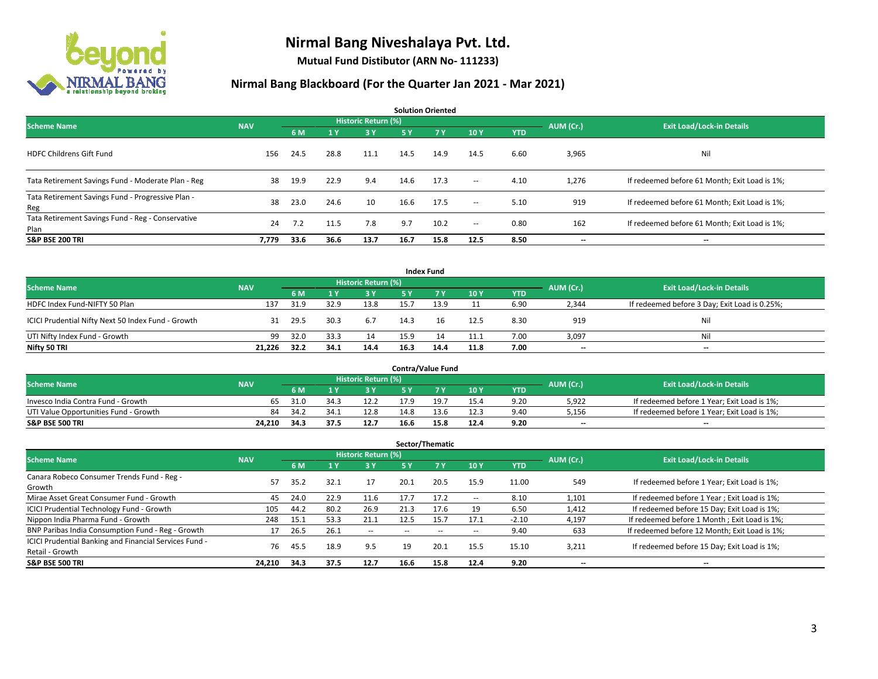

**Mutual Fund Distibutor (ARN No- 111233)**

| <b>Solution Oriented</b>                                  |            |      |      |                            |           |           |                          |            |           |                                               |  |  |  |
|-----------------------------------------------------------|------------|------|------|----------------------------|-----------|-----------|--------------------------|------------|-----------|-----------------------------------------------|--|--|--|
| <b>Scheme Name</b>                                        | <b>NAV</b> |      |      | <b>Historic Return (%)</b> |           |           |                          |            | AUM (Cr.) | <b>Exit Load/Lock-in Details</b>              |  |  |  |
|                                                           |            | 6 M  | 1 Y  | 3 Y                        | <b>5Y</b> | <b>7Y</b> | 10Y                      | <b>YTD</b> |           |                                               |  |  |  |
| <b>HDFC Childrens Gift Fund</b>                           | 156        | 24.5 | 28.8 | 11.1                       | 14.5      | 14.9      | 14.5                     | 6.60       | 3,965     | Nil                                           |  |  |  |
| Tata Retirement Savings Fund - Moderate Plan - Reg        | 38         | 19.9 | 22.9 | 9.4                        | 14.6      | 17.3      | $\overline{\phantom{a}}$ | 4.10       | 1,276     | If redeemed before 61 Month; Exit Load is 1%; |  |  |  |
| Tata Retirement Savings Fund - Progressive Plan -<br>Reg  | 38         | 23.0 | 24.6 | 10                         | 16.6      | 17.5      | $\sim$                   | 5.10       | 919       | If redeemed before 61 Month; Exit Load is 1%; |  |  |  |
| Tata Retirement Savings Fund - Reg - Conservative<br>Plan | 24         | 7.2  | 11.5 | 7.8                        | 9.7       | 10.2      | $\overline{\phantom{a}}$ | 0.80       | 162       | If redeemed before 61 Month; Exit Load is 1%; |  |  |  |
| <b>S&amp;P BSE 200 TRI</b>                                | 7,779      | 33.6 | 36.6 | 13.7                       | 16.7      | 15.8      | 12.5                     | 8.50       | --        | --                                            |  |  |  |

| <b>Index Fund</b>                                  |            |      |      |                     |           |            |      |            |                          |                                               |  |  |  |
|----------------------------------------------------|------------|------|------|---------------------|-----------|------------|------|------------|--------------------------|-----------------------------------------------|--|--|--|
| <b>Scheme Name</b>                                 | <b>NAV</b> |      |      | Historic Return (%) |           |            |      |            | AUM (Cr.)                | <b>Exit Load/Lock-in Details</b>              |  |  |  |
|                                                    |            | 6 M  |      | <b>3Y</b>           | <b>5Y</b> | <b>7 Y</b> | 10Y  | <b>YTD</b> |                          |                                               |  |  |  |
| HDFC Index Fund-NIFTY 50 Plan                      | 137        | 31.9 | 32.9 | 13.8                | 15.7      | 13.9       |      | 6.90       | 2,344                    | If redeemed before 3 Day; Exit Load is 0.25%; |  |  |  |
| ICICI Prudential Nifty Next 50 Index Fund - Growth | 31         | 29.5 | 30.3 | 6.7                 | 14.3      |            | 12.5 | 8.30       | 919                      | Nil                                           |  |  |  |
| UTI Nifty Index Fund - Growth                      | 99         | 32.0 | 33.3 | 14                  | 15.9      |            | 11.1 | 7.00       | 3,097                    | Nil                                           |  |  |  |
| Nifty 50 TRI                                       | 21.226     | 32.2 | 34.1 | 14.4                | 16.3      | 14.4       | 11.8 | 7.00       | $\overline{\phantom{a}}$ | $\overline{\phantom{a}}$                      |  |  |  |

|                                       |            |           |                                  |      |      | <b>Contra/Value Fund</b> |      |      |       |                                             |
|---------------------------------------|------------|-----------|----------------------------------|------|------|--------------------------|------|------|-------|---------------------------------------------|
| <b>Scheme Name</b>                    | <b>NAV</b> | AUM (Cr.) | <b>Exit Load/Lock-in Details</b> |      |      |                          |      |      |       |                                             |
|                                       |            | 6 M       |                                  | 3 Y  |      | 7 V                      | 10Y  | YTD  |       |                                             |
| Invesco India Contra Fund - Growth    | 65         | 31.0      | ∶ 34                             | 12.2 | 17.9 | 1Q -                     | 15.4 | 9.20 | 5,922 | If redeemed before 1 Year; Exit Load is 1%; |
| UTI Value Opportunities Fund - Growth | 84         | -34.2     | -34.1                            | 12.8 | 14.8 | 13.6                     | 12.3 | 9.40 | 5,156 | If redeemed before 1 Year; Exit Load is 1%; |
| <b>S&amp;P BSE 500 TRI</b>            | 24.210     | 34.3      | 37.5                             | 12.7 | 16.6 | 15.8                     | 12.4 | 9.20 | $- -$ | $- -$                                       |

|                                                                           |            |      |      |                            |      | Sector/Thematic |      |            |           |                                               |
|---------------------------------------------------------------------------|------------|------|------|----------------------------|------|-----------------|------|------------|-----------|-----------------------------------------------|
| <b>Scheme Name</b>                                                        | <b>NAV</b> |      |      | <b>Historic Return (%)</b> |      |                 |      |            | AUM (Cr.) | <b>Exit Load/Lock-in Details</b>              |
|                                                                           |            | 6 M  | 1 Y  | 3 Y                        | 5 Y  | 7Y              | 10Y  | <b>YTD</b> |           |                                               |
| Canara Robeco Consumer Trends Fund - Reg -<br>Growth                      | 57         | 35.2 | 32.1 | 17                         | 20.1 | 20.5            | 15.9 | 11.00      | 549       | If redeemed before 1 Year; Exit Load is 1%;   |
| Mirae Asset Great Consumer Fund - Growth                                  | 45         | 24.0 | 22.9 | 11.6                       | 17.7 | 17.2            | --   | 8.10       | 1,101     | If redeemed before 1 Year; Exit Load is 1%;   |
| <b>ICICI Prudential Technology Fund - Growth</b>                          | 105        | 44.2 | 80.2 | 26.9                       | 21.3 | 17.6            | 19   | 6.50       | 1,412     | If redeemed before 15 Day; Exit Load is 1%;   |
| Nippon India Pharma Fund - Growth                                         | 248        | 15.1 | 53.3 | 21.1                       | 12.5 | 15.7            | 17.1 | $-2.10$    | 4.197     | If redeemed before 1 Month; Exit Load is 1%;  |
| BNP Paribas India Consumption Fund - Reg - Growth                         |            | 26.5 | 26.1 | $\overline{\phantom{a}}$   |      |                 | --   | 9.40       | 633       | If redeemed before 12 Month; Exit Load is 1%; |
| ICICI Prudential Banking and Financial Services Fund -<br>Retail - Growth | 76         | 45.5 | 18.9 | 9.5                        | 19   | 20.1            | 15.5 | 15.10      | 3,211     | If redeemed before 15 Day; Exit Load is 1%;   |
| <b>S&amp;P BSE 500 TRI</b>                                                | 24,210     | 34.3 | 37.5 | 12.7                       | 16.6 | 15.8            | 12.4 | 9.20       | --        | --                                            |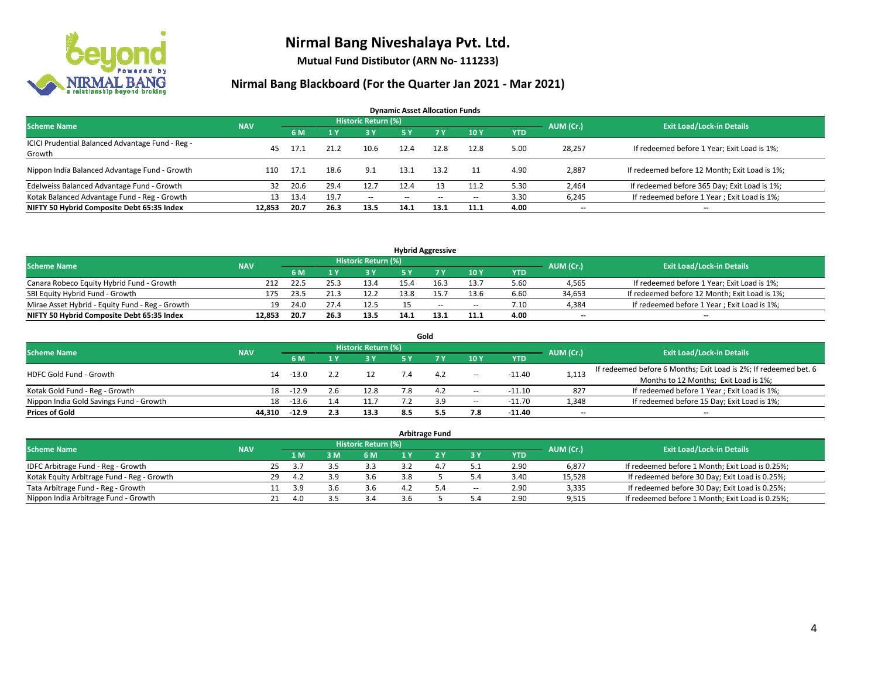

**Mutual Fund Distibutor (ARN No- 111233)**

| <b>Dynamic Asset Allocation Funds</b>                      |            |      |      |                            |      |                          |       |            |                          |                                               |  |  |  |  |
|------------------------------------------------------------|------------|------|------|----------------------------|------|--------------------------|-------|------------|--------------------------|-----------------------------------------------|--|--|--|--|
| <b>Scheme Name</b>                                         | <b>NAV</b> |      |      | <b>Historic Return (%)</b> |      |                          |       |            | AUM (Cr.)                | <b>Exit Load/Lock-in Details</b>              |  |  |  |  |
|                                                            |            | 6 M  |      | 3 Y                        | 5 Y  | 7 Y                      | 10Y   | <b>YTD</b> |                          |                                               |  |  |  |  |
| ICICI Prudential Balanced Advantage Fund - Reg -<br>Growth | 45         | 17.1 | 21.2 | 10.6                       | 12.4 | 12.8                     | 12.8  | 5.00       | 28,257                   | If redeemed before 1 Year; Exit Load is 1%;   |  |  |  |  |
| Nippon India Balanced Advantage Fund - Growth              | 110        | 17.1 | 18.6 | 9.1                        | 13.1 | 13.2                     |       | 4.90       | 2,887                    | If redeemed before 12 Month; Exit Load is 1%; |  |  |  |  |
| Edelweiss Balanced Advantage Fund - Growth                 | 32         | 20.6 | 29.4 | 12.7                       | 12.4 | 13                       | 11.2  | 5.30       | 2,464                    | If redeemed before 365 Day; Exit Load is 1%;  |  |  |  |  |
| Kotak Balanced Advantage Fund - Reg - Growth               | 13         | 13.4 | 19.7 | $- -$                      | --   | $\overline{\phantom{a}}$ | $\!-$ | 3.30       | 6,245                    | If redeemed before 1 Year; Exit Load is 1%;   |  |  |  |  |
| NIFTY 50 Hybrid Composite Debt 65:35 Index                 | 12.853     | 20.7 | 26.3 | 13.5                       | 14.1 | 13.1                     | 11.1  | 4.00       | $\overline{\phantom{a}}$ | --                                            |  |  |  |  |

| <b>Hybrid Aggressive</b>                        |            |      |      |                     |      |      |                          |      |           |                                               |  |  |  |
|-------------------------------------------------|------------|------|------|---------------------|------|------|--------------------------|------|-----------|-----------------------------------------------|--|--|--|
| <b>Scheme Name</b>                              | <b>NAV</b> |      |      | Historic Return (%) |      |      |                          |      | AUM (Cr.) | <b>Exit Load/Lock-in Details</b>              |  |  |  |
|                                                 |            | 6 M  |      | 3 Y                 |      |      | 10Y                      | YTD  |           |                                               |  |  |  |
| Canara Robeco Equity Hybrid Fund - Growth       | 212        | 22.5 |      | 13.4                |      | 16.3 | 13.7                     | 5.60 | 4,565     | If redeemed before 1 Year; Exit Load is 1%;   |  |  |  |
| SBI Equity Hybrid Fund - Growth                 | 175        | 23.5 | 21.3 | 12.2                | 13.8 |      | 13.6                     | 6.60 | 34,653    | If redeemed before 12 Month; Exit Load is 1%; |  |  |  |
| Mirae Asset Hybrid - Equity Fund - Reg - Growth | 19         | 24.0 | 27.4 | 12.5                |      | $-$  | $\overline{\phantom{a}}$ | 7.10 | 4.384     | If redeemed before 1 Year; Exit Load is 1%;   |  |  |  |
| NIFTY 50 Hybrid Composite Debt 65:35 Index      | 12.853     | 20.7 | 26.3 | 13.5                | 14.1 | 13.1 | 11.1                     | 4.00 | $-$       | $- -$                                         |  |  |  |

| Gold                                    |            |         |     |                     |     |     |                          |            |           |                                                                  |  |  |  |  |
|-----------------------------------------|------------|---------|-----|---------------------|-----|-----|--------------------------|------------|-----------|------------------------------------------------------------------|--|--|--|--|
| <b>Scheme Name</b>                      | <b>NAV</b> |         |     | Historic Return (%) |     |     |                          |            | AUM (Cr.) | <b>Exit Load/Lock-in Details</b>                                 |  |  |  |  |
|                                         |            | 6 M     |     | 73 Y.               | 5 Y |     | 10Y                      | <b>YTD</b> |           |                                                                  |  |  |  |  |
| HDFC Gold Fund - Growth                 | 14         | $-13.0$ |     |                     |     | 4.2 | $\overline{\phantom{a}}$ | $-11.40$   | 1,113     | If redeemed before 6 Months; Exit Load is 2%; If redeemed bet. 6 |  |  |  |  |
|                                         |            |         |     |                     |     |     |                          |            |           | Months to 12 Months; Exit Load is 1%;                            |  |  |  |  |
| Kotak Gold Fund - Reg - Growth          | 18         | $-12.9$ | 2.6 | 12.8                |     | 4.2 | $\!-$                    | $-11.10$   | 827       | If redeemed before 1 Year; Exit Load is 1%;                      |  |  |  |  |
| Nippon India Gold Savings Fund - Growth | 18         | $-13.6$ |     |                     |     | 3.9 | $\!-$                    | $-11.70$   | 1,348     | If redeemed before 15 Day; Exit Load is 1%;                      |  |  |  |  |
| <b>Prices of Gold</b>                   | 44.310     | $-12.9$ | 2.3 | 13.3                | 8.5 |     | 7.8                      | $-11.40$   | --        | $- -$                                                            |  |  |  |  |

| <b>Arbitrage Fund</b>                      |            |    |     |     |                            |     |     |       |            |           |                                                 |  |  |  |
|--------------------------------------------|------------|----|-----|-----|----------------------------|-----|-----|-------|------------|-----------|-------------------------------------------------|--|--|--|
| <b>Scheme Name</b>                         | <b>NAV</b> |    |     |     | <b>Historic Return (%)</b> |     |     |       |            | AUM (Cr.) | <b>Exit Load/Lock-in Details</b>                |  |  |  |
|                                            |            |    | 4 M | 3M  | 6 M                        |     |     | 3 Y   | <b>YTD</b> |           |                                                 |  |  |  |
| IDFC Arbitrage Fund - Reg - Growth         |            | 25 | 3.7 |     | 3.3                        |     | 4.7 |       | 2.90       | 6,877     | If redeemed before 1 Month; Exit Load is 0.25%; |  |  |  |
| Kotak Equity Arbitrage Fund - Reg - Growth |            | 29 | 4.2 | 3.9 | 3.6                        | 3.8 |     | 5.4   | 3.40       | 15.528    | If redeemed before 30 Day; Exit Load is 0.25%;  |  |  |  |
| Tata Arbitrage Fund - Reg - Growth         |            |    | 3.9 | 3.6 | 3.6                        |     | 5.4 | $\!-$ | 2.90       | 3,335     | If redeemed before 30 Day; Exit Load is 0.25%;  |  |  |  |
| Nippon India Arbitrage Fund - Growth       |            | 21 | 4.0 |     | 3.4                        |     |     |       | 2.90       | 9,515     | If redeemed before 1 Month; Exit Load is 0.25%; |  |  |  |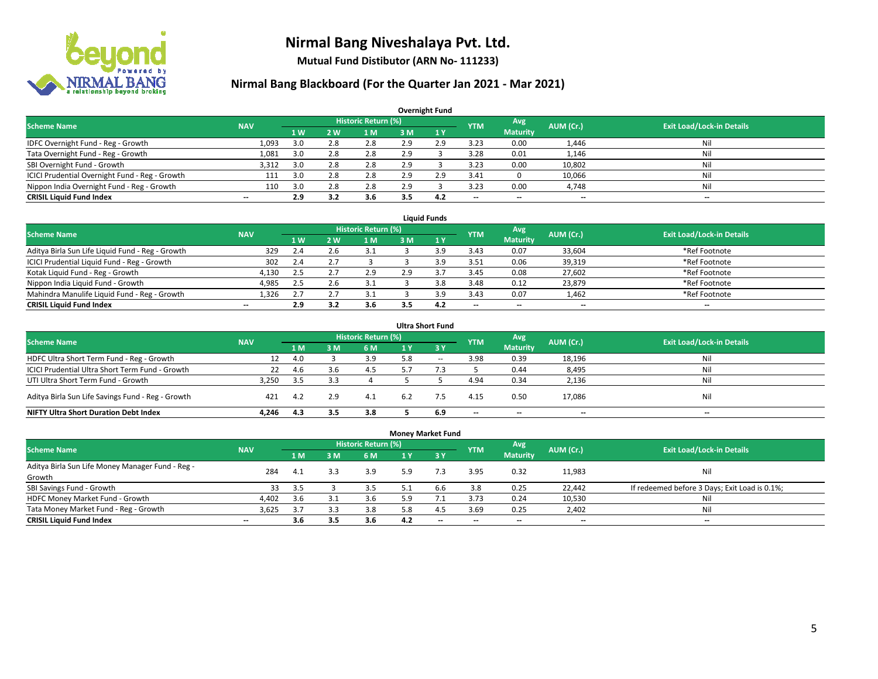

**Mutual Fund Distibutor (ARN No- 111233)**

| <b>Overnight Fund</b>                          |                          |                   |                |                            |     |     |            |                 |           |                                  |  |  |  |  |
|------------------------------------------------|--------------------------|-------------------|----------------|----------------------------|-----|-----|------------|-----------------|-----------|----------------------------------|--|--|--|--|
| <b>Scheme Name</b>                             | <b>NAV</b>               |                   |                | <b>Historic Return (%)</b> |     |     | <b>YTM</b> | <b>Avg</b>      | AUM (Cr.) | <b>Exit Load/Lock-in Details</b> |  |  |  |  |
|                                                |                          | $4 \, \mathrm{W}$ | 2 <sub>w</sub> | ıм                         | 3 M | 1Y  |            | <b>Maturity</b> |           |                                  |  |  |  |  |
| IDFC Overnight Fund - Reg - Growth             | 1,093                    | 3.0               | 2.8            | 2.8                        | 2.9 | 2.9 | 3.23       | 0.00            | 1,446     | Nil                              |  |  |  |  |
| Tata Overnight Fund - Reg - Growth             | 1,081                    | 3.0               | 2.8            | 2.8                        | 2.9 |     | 3.28       | 0.01            | 1,146     | Nil                              |  |  |  |  |
| SBI Overnight Fund - Growth                    | 3,312                    | 3.0               | 2.8            | 2.8                        | 2.9 |     | 3.23       | 0.00            | 10,802    | Nil                              |  |  |  |  |
| ICICI Prudential Overnight Fund - Reg - Growth | 111                      | 3.0               | 2.8            | 2.8                        | 2.9 | 2.9 | 3.41       |                 | 10,066    | Nil                              |  |  |  |  |
| Nippon India Overnight Fund - Reg - Growth     | 110                      | 3.0               | 2.8            | 2.8                        | 2.9 |     | 3.23       | 0.00            | 4,748     | Nil                              |  |  |  |  |
| <b>CRISIL Liquid Fund Index</b>                | $\overline{\phantom{a}}$ | 2.9               | 3.2            | 3.6                        | 3.5 | 4.2 | --         | --              | --        | $\overline{\phantom{a}}$         |  |  |  |  |

| <b>Liauid Funds</b>                              |            |      |            |                     |     |     |                          |                          |           |                                  |  |  |  |
|--------------------------------------------------|------------|------|------------|---------------------|-----|-----|--------------------------|--------------------------|-----------|----------------------------------|--|--|--|
| <b>Scheme Name</b>                               | <b>NAV</b> |      |            | Historic Return (%) |     |     | <b>YTM</b>               | Avg                      | AUM (Cr.) | <b>Exit Load/Lock-in Details</b> |  |  |  |
|                                                  |            | 1 W  | <b>2 W</b> | 1 M                 | зM  |     |                          | <b>Maturity</b>          |           |                                  |  |  |  |
| Aditya Birla Sun Life Liquid Fund - Reg - Growth | 329        | 2.4  |            | 3.1                 |     | ہ ؛ | 3.43                     | 0.07                     | 33,604    | *Ref Footnote                    |  |  |  |
| ICICI Prudential Liquid Fund - Reg - Growth      | 302        | 2.4  |            |                     |     | ہ ؛ | 3.51                     | 0.06                     | 39,319    | *Ref Footnote                    |  |  |  |
| Kotak Liquid Fund - Reg - Growth                 | 4,130      | -2.5 | ٠٠         | 2.9                 | 2.9 |     | 3.45                     | 0.08                     | 27,602    | *Ref Footnote                    |  |  |  |
| Nippon India Liquid Fund - Growth                | 4,985      | 2.5  | Z.G        | 3.1                 |     |     | 3.48                     | 0.12                     | 23,879    | *Ref Footnote                    |  |  |  |
| Mahindra Manulife Liquid Fund - Reg - Growth     | 1,326      | 2.7  | $\sim$     |                     |     | ιq  | 3.43                     | 0.07                     | 1,462     | *Ref Footnote                    |  |  |  |
| <b>CRISIL Liquid Fund Index</b>                  | $- -$      | 2.9  |            | 3.6                 |     | 4.2 | $\overline{\phantom{a}}$ | $\overline{\phantom{a}}$ | $- -$     | $- -$                            |  |  |  |

| <b>Ultra Short Fund</b>                           |            |      |     |                            |     |        |            |                 |           |                                  |  |  |  |
|---------------------------------------------------|------------|------|-----|----------------------------|-----|--------|------------|-----------------|-----------|----------------------------------|--|--|--|
| <b>Scheme Name</b>                                | <b>NAV</b> |      |     | <b>Historic Return (%)</b> |     |        | <b>YTM</b> | Avg             | AUM (Cr.) | <b>Exit Load/Lock-in Details</b> |  |  |  |
|                                                   |            | 1 M  | 3 M | 6 M                        | 1 Y | -3 Y   |            | <b>Maturity</b> |           |                                  |  |  |  |
| HDFC Ultra Short Term Fund - Reg - Growth         | 12         | 4.0  |     | 3.9                        | 5.8 | $\sim$ | 3.98       | 0.39            | 18,196    | Nil                              |  |  |  |
| ICICI Prudential Ultra Short Term Fund - Growth   | 22         | 4.6  |     | 4.5                        |     |        |            | 0.44            | 8,495     | Nil                              |  |  |  |
| UTI Ultra Short Term Fund - Growth                | 3.250      | -3.5 |     |                            |     |        | 4.94       | 0.34            | 2,136     | Nil                              |  |  |  |
| Aditya Birla Sun Life Savings Fund - Reg - Growth | 421        | 4.2  | 2.9 | 4.1                        | 6.2 |        | 4.15       | 0.50            | 17,086    | Nil                              |  |  |  |
| <b>NIFTY Ultra Short Duration Debt Index</b>      | 4.246      | 4.3  | 3.5 | 3.8                        |     | 6.9    | $- -$      | $- -$           | $- -$     | $\overline{\phantom{a}}$         |  |  |  |

| <b>Money Market Fund</b>                         |                          |     |     |                            |     |            |            |                 |           |                                               |  |  |  |  |
|--------------------------------------------------|--------------------------|-----|-----|----------------------------|-----|------------|------------|-----------------|-----------|-----------------------------------------------|--|--|--|--|
| <b>Scheme Name</b>                               | <b>NAV</b>               |     |     | <b>Historic Return (%)</b> |     |            | <b>YTM</b> | Avg             | AUM (Cr.) | <b>Exit Load/Lock-in Details</b>              |  |  |  |  |
|                                                  |                          | 1 M | 3M  | 6 M                        | 1 Y | <b>73Y</b> |            | <b>Maturity</b> |           |                                               |  |  |  |  |
| Aditya Birla Sun Life Money Manager Fund - Reg - | 284                      | 4.1 | 3.3 | 3.9                        | 5.9 |            | 3.95       | 0.32            | 11,983    | Nil                                           |  |  |  |  |
| Growth                                           |                          |     |     |                            |     |            |            |                 |           |                                               |  |  |  |  |
| SBI Savings Fund - Growth                        | 33                       | 3.5 |     | 3.5                        |     | 6.6        | 3.8        | 0.25            | 22,442    | If redeemed before 3 Days; Exit Load is 0.1%; |  |  |  |  |
| HDFC Money Market Fund - Growth                  | 4,402                    | 3.6 | 3.  | 3.6                        | 5.9 |            | 3.73       | 0.24            | 10,530    | Nil                                           |  |  |  |  |
| Tata Money Market Fund - Reg - Growth            | 3,625                    | 3.7 | 3.3 | 3.8                        | 5.8 | 4.5        | 3.69       | 0.25            | 2,402     | Nil                                           |  |  |  |  |
| <b>CRISIL Liquid Fund Index</b>                  | $\overline{\phantom{a}}$ | 3.6 | 3.5 | 3.6                        | 4.2 | $-$        | --         | $- -$           | $- -$     | $\overline{\phantom{a}}$                      |  |  |  |  |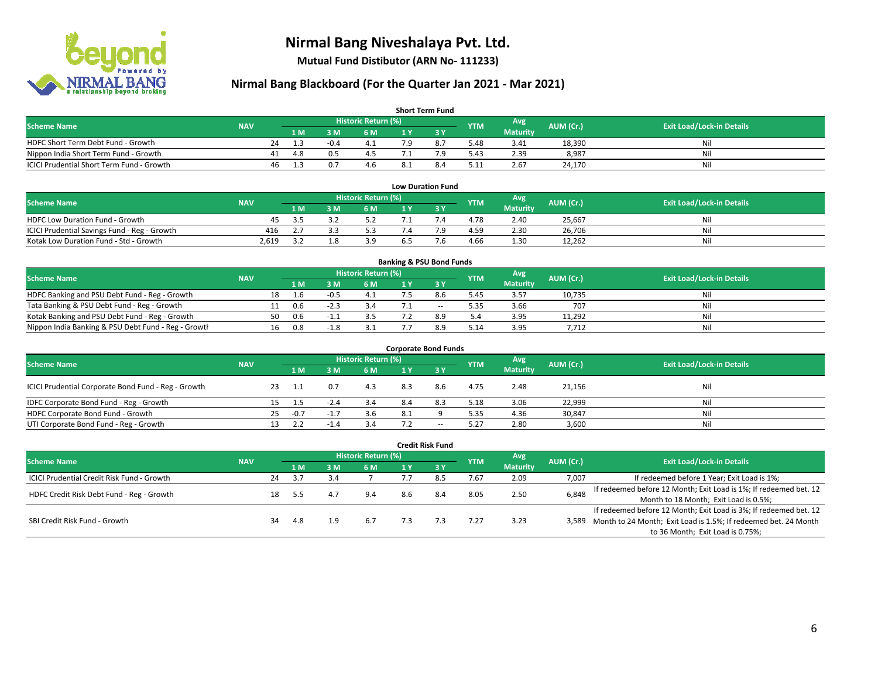

**Mutual Fund Distibutor (ARN No- 111233)**

| <b>Short Term Fund</b>                           |            |    |                |        |                            |  |     |            |                  |           |                                  |  |  |  |
|--------------------------------------------------|------------|----|----------------|--------|----------------------------|--|-----|------------|------------------|-----------|----------------------------------|--|--|--|
| <b>Scheme Name</b>                               | <b>NAV</b> |    |                |        | <b>Historic Return (%)</b> |  |     | <b>YTM</b> | Avg <sup>1</sup> | AUM (Cr.) | <b>Exit Load/Lock-in Details</b> |  |  |  |
|                                                  |            |    | 1 <sub>M</sub> | 3 M    | 6 M                        |  |     |            | <b>Maturity</b>  |           |                                  |  |  |  |
| HDFC Short Term Debt Fund - Growth               |            | 24 | 13             | $-0.4$ | 4.1                        |  | 8.7 | 5.48       | 3.41             | 18,390    | Ni                               |  |  |  |
| Nippon India Short Term Fund - Growth            |            | 41 | -4.8           |        | 4.5                        |  | ہ 7 | 5.43       | 2.39             | 8,987     | Ni                               |  |  |  |
| <b>ICICI Prudential Short Term Fund - Growth</b> |            | 46 | 1.3            |        | 4.6                        |  | 8.4 | 5.11       | 2.67             | 24,170    | Nil                              |  |  |  |

| <b>Low Duration Fund</b>                     |            |     |    |                      |     |  |            |                 |           |                                  |  |  |  |  |
|----------------------------------------------|------------|-----|----|----------------------|-----|--|------------|-----------------|-----------|----------------------------------|--|--|--|--|
| <b>Scheme Name</b>                           | <b>NAV</b> |     |    | Historic Return (%)' |     |  | <b>YTM</b> | Avg             | AUM (Cr.) | <b>Exit Load/Lock-in Details</b> |  |  |  |  |
|                                              |            | 1 M | ١M | 6 M                  |     |  |            | <b>Maturity</b> |           |                                  |  |  |  |  |
| <b>HDFC Low Duration Fund - Growth</b>       | 45         | -35 |    | 5.2                  |     |  | 4.78       | 2.40            | 25,667    | Nil                              |  |  |  |  |
| ICICI Prudential Savings Fund - Reg - Growth | 416        |     |    | 5.3                  |     |  | 4.59       | 2.30            | 26,706    | Nil                              |  |  |  |  |
| Kotak Low Duration Fund - Std - Growth       | 2,619      |     |    | 3.9                  | 6.5 |  | 4.66       | 1.30            | 12,262    | Nil                              |  |  |  |  |

| <b>Banking &amp; PSU Bond Funds</b>                 |            |    |     |        |                     |  |        |            |                 |           |                                  |  |  |  |
|-----------------------------------------------------|------------|----|-----|--------|---------------------|--|--------|------------|-----------------|-----------|----------------------------------|--|--|--|
| <b>Scheme Name</b>                                  | <b>NAV</b> |    |     |        | Historic Return (%) |  |        | <b>YTM</b> | Avg             | AUM (Cr.) | <b>Exit Load/Lock-in Details</b> |  |  |  |
|                                                     |            |    | 1 M | : M    | 6 M                 |  |        |            | <b>Maturity</b> |           |                                  |  |  |  |
| HDFC Banking and PSU Debt Fund - Reg - Growth       |            | 18 |     |        |                     |  | 8.6    | 5.45       | 3.57            | 10,735    | Nil                              |  |  |  |
| Tata Banking & PSU Debt Fund - Reg - Growth         |            |    | 0.6 |        |                     |  | $\sim$ | 5.35       | 3.66            | 707       | Nil                              |  |  |  |
| Kotak Banking and PSU Debt Fund - Reg - Growth      |            | 50 | 0.6 | $-1$   | 3.5                 |  | 8.9    | 5.4        | 3.95            | 11,292    | Nil                              |  |  |  |
| Nippon India Banking & PSU Debt Fund - Reg - Growth |            | 16 | 0.8 | $-1.8$ |                     |  | 8.9    | 5.14       | 3.95            | 7,712     | Nil                              |  |  |  |

| <b>Corporate Bond Funds</b>                         |            |    |        |        |                            |     |                          |            |                 |           |                                  |  |  |  |
|-----------------------------------------------------|------------|----|--------|--------|----------------------------|-----|--------------------------|------------|-----------------|-----------|----------------------------------|--|--|--|
| <b>Scheme Name</b>                                  | <b>NAV</b> |    |        |        | <b>Historic Return (%)</b> |     |                          | <b>YTM</b> | Avg             | AUM (Cr.) | <b>Exit Load/Lock-in Details</b> |  |  |  |
|                                                     |            |    | 1 M    | M      | 6 M                        | 1 Y | 73 Y                     |            | <b>Maturity</b> |           |                                  |  |  |  |
| ICICI Prudential Corporate Bond Fund - Reg - Growth |            |    |        |        | 4.3                        | 8.3 | 8.6                      | 4.75       | 2.48            | 21,156    | Nil                              |  |  |  |
| IDFC Corporate Bond Fund - Reg - Growth             |            |    | 1.5    | $-2.4$ | 3.4                        | 8.4 | 8.3                      | 5.18       | 3.06            | 22,999    | Nil                              |  |  |  |
| HDFC Corporate Bond Fund - Growth                   |            | 25 | $-0.7$ | $-1.7$ | 3.6                        | 8.1 |                          | 5.35       | 4.36            | 30,847    | Nil                              |  |  |  |
| UTI Corporate Bond Fund - Reg - Growth              |            |    |        |        | 3.4                        |     | $\overline{\phantom{a}}$ | 5.27       | 2.80            | 3,600     | Nil                              |  |  |  |

| Credit Risk Fund                           |            |    |     |     |                            |     |        |            |                 |           |                                                                       |  |
|--------------------------------------------|------------|----|-----|-----|----------------------------|-----|--------|------------|-----------------|-----------|-----------------------------------------------------------------------|--|
| <b>Scheme Name</b>                         | <b>NAV</b> |    |     |     | <b>Historic Return (%)</b> |     |        | <b>YTM</b> | Avg             | AUM (Cr.) | <b>Exit Load/Lock-in Details</b>                                      |  |
|                                            |            |    | 1 M | sм  | 6 M                        | 1 Y | $Z_3V$ |            | <b>Maturity</b> |           |                                                                       |  |
| ICICI Prudential Credit Risk Fund - Growth |            | 24 | 3.7 | 3.4 |                            |     |        | 7.67       | 2.09            | 7,007     | If redeemed before 1 Year; Exit Load is 1%;                           |  |
|                                            |            |    |     |     | 9.4                        | 8.6 | 8.4    | 8.05       | 2.50            | 6,848     | If redeemed before 12 Month; Exit Load is 1%; If redeemed bet. 12     |  |
| HDFC Credit Risk Debt Fund - Reg - Growth  |            | 18 | 5.5 |     |                            |     |        |            |                 |           | Month to 18 Month; Exit Load is 0.5%;                                 |  |
|                                            |            |    |     |     |                            |     |        |            |                 |           | If redeemed before 12 Month; Exit Load is 3%; If redeemed bet. 12     |  |
| SBI Credit Risk Fund - Growth              |            | 34 | 4.8 | 1.9 | 6.7                        |     |        | 7.27       | 3.23            |           | 3,589 Month to 24 Month; Exit Load is 1.5%; If redeemed bet. 24 Month |  |
|                                            |            |    |     |     |                            |     |        |            |                 |           | to 36 Month; Exit Load is 0.75%;                                      |  |